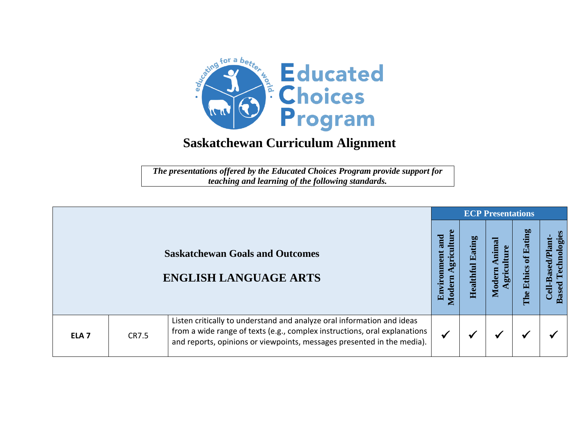

*The presentations offered by the Educated Choices Program provide support for teaching and learning of the following standards.*

|                  |       |                                                                                                                                                                                                                               |                                                 | <b>ECP Presentations</b>   |                                          |                         |                                                  |
|------------------|-------|-------------------------------------------------------------------------------------------------------------------------------------------------------------------------------------------------------------------------------|-------------------------------------------------|----------------------------|------------------------------------------|-------------------------|--------------------------------------------------|
|                  |       | <b>Saskatchewan Goals and Outcomes</b><br><b>ENGLISH LANGUAGE ARTS</b>                                                                                                                                                        | ture<br>and<br>gricult<br>Environment<br>Modern | Eating<br><b>Healthful</b> | himal<br><b>llture</b><br>Modern<br>gric | of Eating<br>The Ethics | Technologies<br>Cell-Based/Plant<br><b>Based</b> |
| ELA <sub>7</sub> | CR7.5 | Listen critically to understand and analyze oral information and ideas<br>from a wide range of texts (e.g., complex instructions, oral explanations<br>and reports, opinions or viewpoints, messages presented in the media). | $\checkmark$                                    | ✔                          | $\checkmark$                             | ✔                       |                                                  |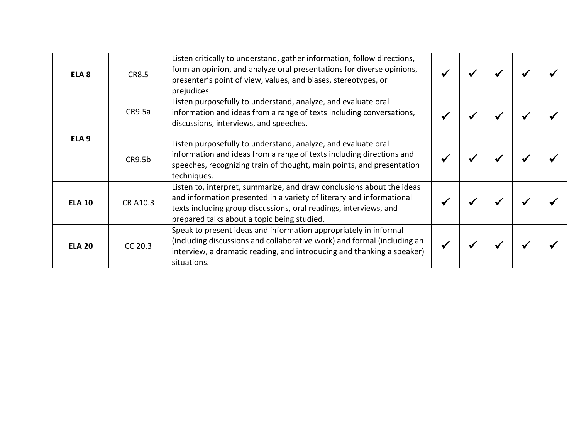| ELA <sub>8</sub> | <b>CR8.5</b> | Listen critically to understand, gather information, follow directions,<br>form an opinion, and analyze oral presentations for diverse opinions,<br>presenter's point of view, values, and biases, stereotypes, or<br>prejudices.                                 |  |  |  |
|------------------|--------------|-------------------------------------------------------------------------------------------------------------------------------------------------------------------------------------------------------------------------------------------------------------------|--|--|--|
| ELA <sub>9</sub> | CR9.5a       | Listen purposefully to understand, analyze, and evaluate oral<br>information and ideas from a range of texts including conversations,<br>discussions, interviews, and speeches.                                                                                   |  |  |  |
|                  | CR9.5b       | Listen purposefully to understand, analyze, and evaluate oral<br>information and ideas from a range of texts including directions and<br>speeches, recognizing train of thought, main points, and presentation<br>techniques.                                     |  |  |  |
| <b>ELA 10</b>    | CR A10.3     | Listen to, interpret, summarize, and draw conclusions about the ideas<br>and information presented in a variety of literary and informational<br>texts including group discussions, oral readings, interviews, and<br>prepared talks about a topic being studied. |  |  |  |
| <b>ELA 20</b>    | CC 20.3      | Speak to present ideas and information appropriately in informal<br>(including discussions and collaborative work) and formal (including an<br>interview, a dramatic reading, and introducing and thanking a speaker)<br>situations.                              |  |  |  |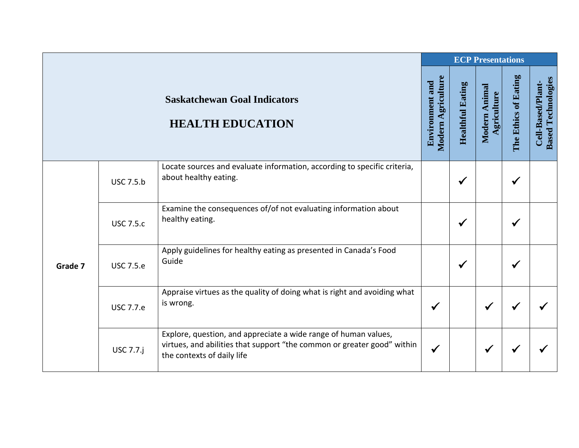|         |                  |                                                                                                                                                                          |                                              |                         | <b>ECP Presentations</b>     |                      |                                                |
|---------|------------------|--------------------------------------------------------------------------------------------------------------------------------------------------------------------------|----------------------------------------------|-------------------------|------------------------------|----------------------|------------------------------------------------|
|         |                  | <b>Saskatchewan Goal Indicators</b><br><b>HEALTH EDUCATION</b>                                                                                                           | Modern Agriculture<br><b>Environment and</b> | <b>Healthful Eating</b> | Modern Animal<br>Agriculture | The Ethics of Eating | <b>Based Technologies</b><br>Cell-Based/Plant- |
| Grade 7 | <b>USC 7.5.b</b> | Locate sources and evaluate information, according to specific criteria,<br>about healthy eating.                                                                        |                                              | $\checkmark$            |                              | ✔                    |                                                |
|         | <b>USC 7.5.c</b> | Examine the consequences of/of not evaluating information about<br>healthy eating.                                                                                       |                                              | $\checkmark$            |                              |                      |                                                |
|         | <b>USC 7.5.e</b> | Apply guidelines for healthy eating as presented in Canada's Food<br>Guide                                                                                               |                                              | $\checkmark$            |                              | ✔                    |                                                |
|         | <b>USC 7.7.e</b> | Appraise virtues as the quality of doing what is right and avoiding what<br>is wrong.                                                                                    | ✔                                            |                         | ✔                            |                      |                                                |
|         | <b>USC 7.7.j</b> | Explore, question, and appreciate a wide range of human values,<br>virtues, and abilities that support "the common or greater good" within<br>the contexts of daily life | $\checkmark$                                 |                         |                              |                      |                                                |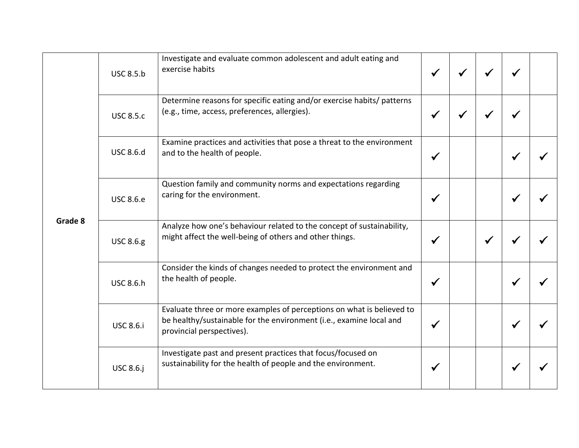|         | <b>USC 8.5.b</b> | Investigate and evaluate common adolescent and adult eating and<br>exercise habits                                                                                        | $\checkmark$ | $\checkmark$ | $\checkmark$ |   |  |
|---------|------------------|---------------------------------------------------------------------------------------------------------------------------------------------------------------------------|--------------|--------------|--------------|---|--|
| Grade 8 | <b>USC 8.5.c</b> | Determine reasons for specific eating and/or exercise habits/ patterns<br>(e.g., time, access, preferences, allergies).                                                   | $\checkmark$ |              |              |   |  |
|         | <b>USC 8.6.d</b> | Examine practices and activities that pose a threat to the environment<br>and to the health of people.                                                                    | $\checkmark$ |              |              | ✔ |  |
|         | <b>USC 8.6.e</b> | Question family and community norms and expectations regarding<br>caring for the environment.                                                                             | $\checkmark$ |              |              |   |  |
|         | <b>USC 8.6.g</b> | Analyze how one's behaviour related to the concept of sustainability,<br>might affect the well-being of others and other things.                                          | $\checkmark$ |              | $\checkmark$ |   |  |
|         | <b>USC 8.6.h</b> | Consider the kinds of changes needed to protect the environment and<br>the health of people.                                                                              | $\checkmark$ |              |              | ✔ |  |
|         | <b>USC 8.6.i</b> | Evaluate three or more examples of perceptions on what is believed to<br>be healthy/sustainable for the environment (i.e., examine local and<br>provincial perspectives). | $\checkmark$ |              |              | ✔ |  |
|         | <b>USC 8.6.j</b> | Investigate past and present practices that focus/focused on<br>sustainability for the health of people and the environment.                                              | $\checkmark$ |              |              |   |  |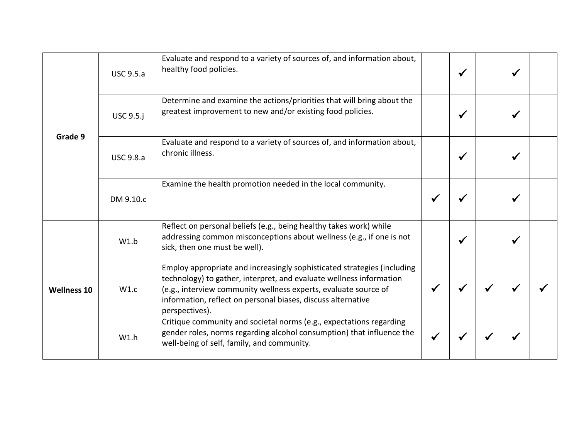| Grade 9            | <b>USC 9.5.a</b> | Evaluate and respond to a variety of sources of, and information about,<br>healthy food policies.                                                                                                                                                                                                   | $\checkmark$ | √ |  |
|--------------------|------------------|-----------------------------------------------------------------------------------------------------------------------------------------------------------------------------------------------------------------------------------------------------------------------------------------------------|--------------|---|--|
|                    | <b>USC 9.5.j</b> | Determine and examine the actions/priorities that will bring about the<br>greatest improvement to new and/or existing food policies.                                                                                                                                                                | $\checkmark$ |   |  |
|                    | <b>USC 9.8.a</b> | Evaluate and respond to a variety of sources of, and information about,<br>chronic illness.                                                                                                                                                                                                         | $\checkmark$ |   |  |
|                    | DM 9.10.c        | Examine the health promotion needed in the local community.                                                                                                                                                                                                                                         |              |   |  |
| <b>Wellness 10</b> | W1.b             | Reflect on personal beliefs (e.g., being healthy takes work) while<br>addressing common misconceptions about wellness (e.g., if one is not<br>sick, then one must be well).                                                                                                                         | $\checkmark$ |   |  |
|                    | W1.c             | Employ appropriate and increasingly sophisticated strategies (including<br>technology) to gather, interpret, and evaluate wellness information<br>(e.g., interview community wellness experts, evaluate source of<br>information, reflect on personal biases, discuss alternative<br>perspectives). |              |   |  |
|                    | W1.h             | Critique community and societal norms (e.g., expectations regarding<br>gender roles, norms regarding alcohol consumption) that influence the<br>well-being of self, family, and community.                                                                                                          |              |   |  |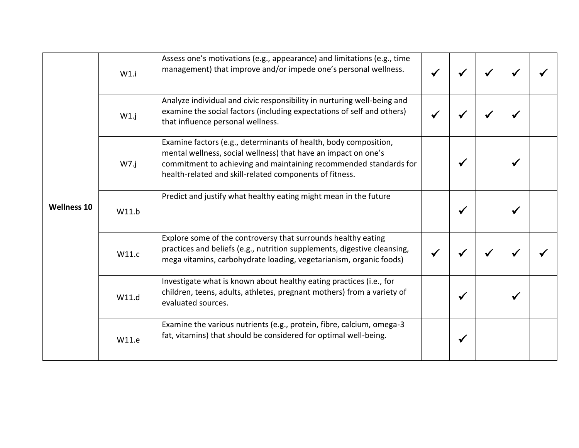|                    | W1.i  | Assess one's motivations (e.g., appearance) and limitations (e.g., time<br>management) that improve and/or impede one's personal wellness.                                                                                                                         |              |  |  |
|--------------------|-------|--------------------------------------------------------------------------------------------------------------------------------------------------------------------------------------------------------------------------------------------------------------------|--------------|--|--|
| <b>Wellness 10</b> | W1.j  | Analyze individual and civic responsibility in nurturing well-being and<br>examine the social factors (including expectations of self and others)<br>that influence personal wellness.                                                                             |              |  |  |
|                    | W7.j  | Examine factors (e.g., determinants of health, body composition,<br>mental wellness, social wellness) that have an impact on one's<br>commitment to achieving and maintaining recommended standards for<br>health-related and skill-related components of fitness. |              |  |  |
|                    | W11.b | Predict and justify what healthy eating might mean in the future                                                                                                                                                                                                   | $\checkmark$ |  |  |
|                    | W11.c | Explore some of the controversy that surrounds healthy eating<br>practices and beliefs (e.g., nutrition supplements, digestive cleansing,<br>mega vitamins, carbohydrate loading, vegetarianism, organic foods)                                                    |              |  |  |
|                    | W11.d | Investigate what is known about healthy eating practices (i.e., for<br>children, teens, adults, athletes, pregnant mothers) from a variety of<br>evaluated sources.                                                                                                | ✔            |  |  |
|                    | W11.e | Examine the various nutrients (e.g., protein, fibre, calcium, omega-3<br>fat, vitamins) that should be considered for optimal well-being.                                                                                                                          | ✔            |  |  |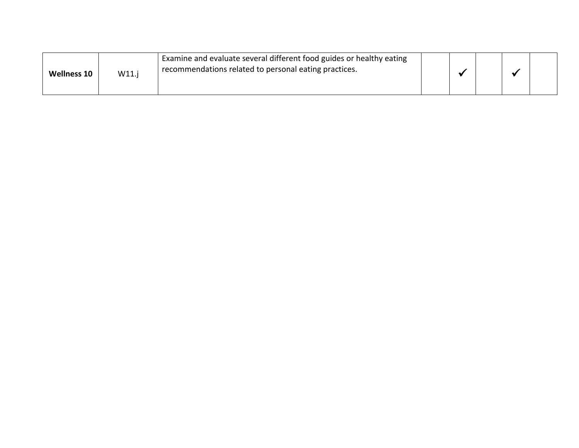| <b>Wellness 10</b> | W11. | Examine and evaluate several different food guides or healthy eating<br>recommendations related to personal eating practices. |  |  |  |
|--------------------|------|-------------------------------------------------------------------------------------------------------------------------------|--|--|--|
|                    |      |                                                                                                                               |  |  |  |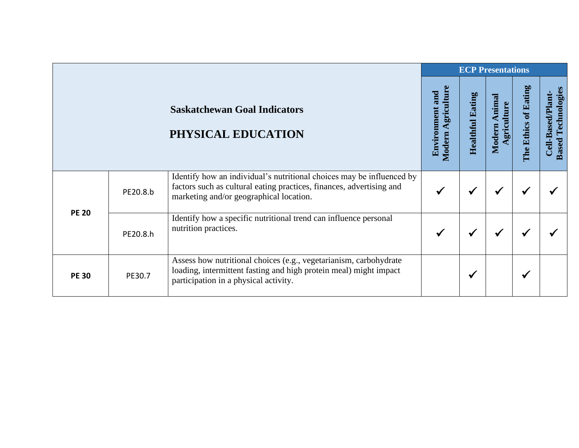|              | <b>Saskatchewan Goal Indicators</b><br>PHYSICAL EDUCATION<br>Identify how an individual's nutritional choices may be influenced by<br>factors such as cultural eating practices, finances, advertising and<br>PE20.8.b<br>marketing and/or geographical location.<br>Identify how a specific nutritional trend can influence personal<br>nutrition practices.<br>PE20.8.h<br>Assess how nutritional choices (e.g., vegetarianism, carbohydrate | <b>ECP Presentations</b>                                                                                   |                                                 |                         |                                |                      |                                                          |  |
|--------------|------------------------------------------------------------------------------------------------------------------------------------------------------------------------------------------------------------------------------------------------------------------------------------------------------------------------------------------------------------------------------------------------------------------------------------------------|------------------------------------------------------------------------------------------------------------|-------------------------------------------------|-------------------------|--------------------------------|----------------------|----------------------------------------------------------|--|
|              |                                                                                                                                                                                                                                                                                                                                                                                                                                                |                                                                                                            | Agriculture<br><b>Environment and</b><br>Modern | <b>Healthful Eating</b> | Animal<br>griculture<br>Modern | The Ethics of Eating | <b>Based Technologies</b><br>-Based/Plant<br><b>Cell</b> |  |
| <b>PE 20</b> |                                                                                                                                                                                                                                                                                                                                                                                                                                                |                                                                                                            |                                                 |                         | √                              |                      |                                                          |  |
|              |                                                                                                                                                                                                                                                                                                                                                                                                                                                |                                                                                                            |                                                 |                         | ✔                              |                      |                                                          |  |
| <b>PE 30</b> | PE30.7                                                                                                                                                                                                                                                                                                                                                                                                                                         | loading, intermittent fasting and high protein meal) might impact<br>participation in a physical activity. |                                                 | √                       |                                |                      |                                                          |  |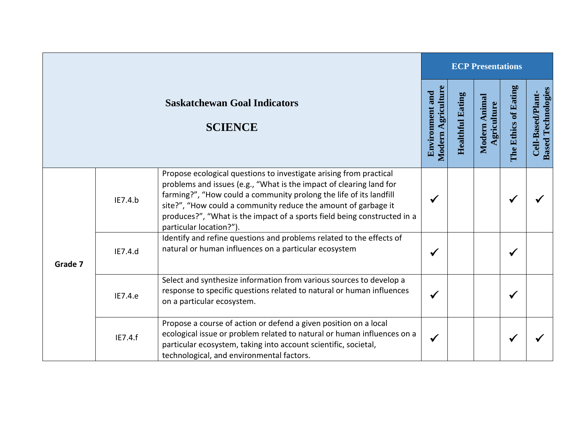|         |         |                                                                                                                                                                                                                                                                                                                                                                                          |                                                     |                            | <b>ECP Presentations</b>      |                      |                                                |
|---------|---------|------------------------------------------------------------------------------------------------------------------------------------------------------------------------------------------------------------------------------------------------------------------------------------------------------------------------------------------------------------------------------------------|-----------------------------------------------------|----------------------------|-------------------------------|----------------------|------------------------------------------------|
|         |         | <b>Saskatchewan Goal Indicators</b><br><b>SCIENCE</b>                                                                                                                                                                                                                                                                                                                                    | <b>Modern Agriculture</b><br><b>Environment and</b> | Eating<br><b>Healthful</b> | Anima<br>griculture<br>Modern | The Ethics of Eating | <b>Based Technologies</b><br>Cell-Based/Plant- |
| Grade 7 | IE7.4.b | Propose ecological questions to investigate arising from practical<br>problems and issues (e.g., "What is the impact of clearing land for<br>farming?", "How could a community prolong the life of its landfill<br>site?", "How could a community reduce the amount of garbage it<br>produces?", "What is the impact of a sports field being constructed in a<br>particular location?"). | $\checkmark$                                        |                            |                               |                      |                                                |
|         | IE7.4.d | Identify and refine questions and problems related to the effects of<br>natural or human influences on a particular ecosystem                                                                                                                                                                                                                                                            | $\checkmark$                                        |                            |                               | √                    |                                                |
|         | IE7.4.e | Select and synthesize information from various sources to develop a<br>response to specific questions related to natural or human influences<br>on a particular ecosystem.                                                                                                                                                                                                               | $\checkmark$                                        |                            |                               |                      |                                                |
|         | IE7.4.f | Propose a course of action or defend a given position on a local<br>ecological issue or problem related to natural or human influences on a<br>particular ecosystem, taking into account scientific, societal,<br>technological, and environmental factors.                                                                                                                              | $\checkmark$                                        |                            |                               |                      |                                                |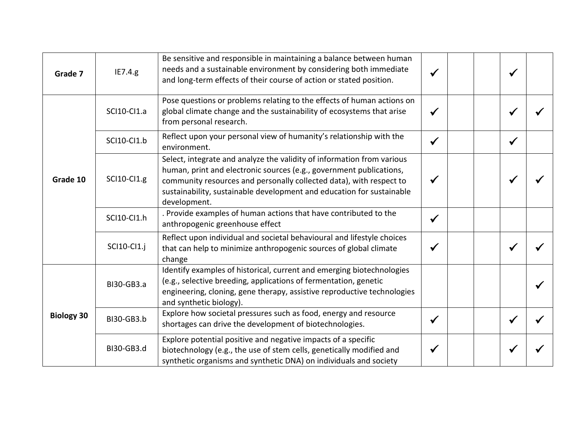| Grade 7           | IE7.4.g           | Be sensitive and responsible in maintaining a balance between human<br>needs and a sustainable environment by considering both immediate<br>and long-term effects of their course of action or stated position.                                                                                               |              | √ |  |
|-------------------|-------------------|---------------------------------------------------------------------------------------------------------------------------------------------------------------------------------------------------------------------------------------------------------------------------------------------------------------|--------------|---|--|
|                   | SCI10-CI1.a       | Pose questions or problems relating to the effects of human actions on<br>global climate change and the sustainability of ecosystems that arise<br>from personal research.                                                                                                                                    | ✔            |   |  |
| Grade 10          | SCI10-CI1.b       | Reflect upon your personal view of humanity's relationship with the<br>environment.                                                                                                                                                                                                                           | $\checkmark$ | ✔ |  |
|                   | SCI10-CI1.g       | Select, integrate and analyze the validity of information from various<br>human, print and electronic sources (e.g., government publications,<br>community resources and personally collected data), with respect to<br>sustainability, sustainable development and education for sustainable<br>development. |              |   |  |
|                   | SCI10-CI1.h       | . Provide examples of human actions that have contributed to the<br>anthropogenic greenhouse effect                                                                                                                                                                                                           | $\checkmark$ |   |  |
|                   | SCI10-CI1.j       | Reflect upon individual and societal behavioural and lifestyle choices<br>that can help to minimize anthropogenic sources of global climate<br>change                                                                                                                                                         |              |   |  |
|                   | BI30-GB3.a        | Identify examples of historical, current and emerging biotechnologies<br>(e.g., selective breeding, applications of fermentation, genetic<br>engineering, cloning, gene therapy, assistive reproductive technologies<br>and synthetic biology).                                                               |              |   |  |
| <b>Biology 30</b> | <b>BI30-GB3.b</b> | Explore how societal pressures such as food, energy and resource<br>shortages can drive the development of biotechnologies.                                                                                                                                                                                   | $\checkmark$ | ✔ |  |
|                   | BI30-GB3.d        | Explore potential positive and negative impacts of a specific<br>biotechnology (e.g., the use of stem cells, genetically modified and<br>synthetic organisms and synthetic DNA) on individuals and society                                                                                                    |              |   |  |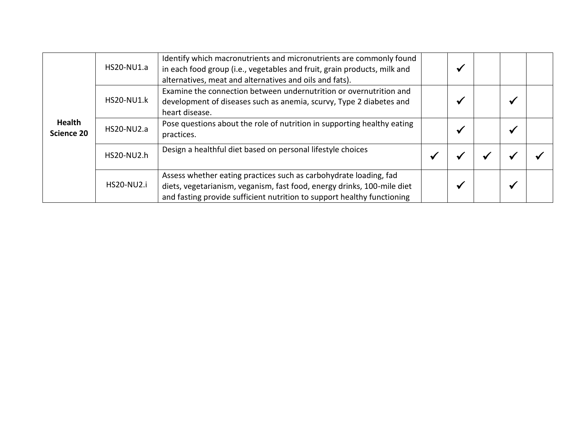|                                    | HS20-NU1.a        | Identify which macronutrients and micronutrients are commonly found<br>in each food group (i.e., vegetables and fruit, grain products, milk and<br>alternatives, meat and alternatives and oils and fats).              |  |  |  |
|------------------------------------|-------------------|-------------------------------------------------------------------------------------------------------------------------------------------------------------------------------------------------------------------------|--|--|--|
| <b>Health</b><br><b>Science 20</b> | <b>HS20-NU1.k</b> | Examine the connection between undernutrition or overnutrition and<br>development of diseases such as anemia, scurvy, Type 2 diabetes and<br>heart disease.                                                             |  |  |  |
|                                    | HS20-NU2.a        | Pose questions about the role of nutrition in supporting healthy eating<br>practices.                                                                                                                                   |  |  |  |
|                                    | HS20-NU2.h        | Design a healthful diet based on personal lifestyle choices                                                                                                                                                             |  |  |  |
|                                    | <b>HS20-NU2.i</b> | Assess whether eating practices such as carbohydrate loading, fad<br>diets, vegetarianism, veganism, fast food, energy drinks, 100-mile diet<br>and fasting provide sufficient nutrition to support healthy functioning |  |  |  |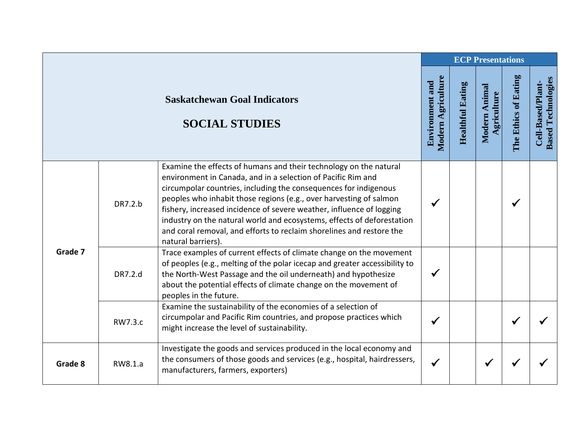|         |         |                                                                                                                                                                                                                                                                                                                                                                                                                                                                                                                             |                                              |                         | <b>ECP Presentations</b>     |                      |                                                |
|---------|---------|-----------------------------------------------------------------------------------------------------------------------------------------------------------------------------------------------------------------------------------------------------------------------------------------------------------------------------------------------------------------------------------------------------------------------------------------------------------------------------------------------------------------------------|----------------------------------------------|-------------------------|------------------------------|----------------------|------------------------------------------------|
|         |         | <b>Saskatchewan Goal Indicators</b><br><b>SOCIAL STUDIES</b>                                                                                                                                                                                                                                                                                                                                                                                                                                                                | Modern Agriculture<br><b>Environment and</b> | <b>Healthful Eating</b> | Modern Animal<br>Agriculture | The Ethics of Eating | <b>Based Technologies</b><br>Cell-Based/Plant- |
|         | DR7.2.b | Examine the effects of humans and their technology on the natural<br>environment in Canada, and in a selection of Pacific Rim and<br>circumpolar countries, including the consequences for indigenous<br>peoples who inhabit those regions (e.g., over harvesting of salmon<br>fishery, increased incidence of severe weather, influence of logging<br>industry on the natural world and ecosystems, effects of deforestation<br>and coral removal, and efforts to reclaim shorelines and restore the<br>natural barriers). | ✔                                            |                         |                              |                      |                                                |
| Grade 7 | DR7.2.d | Trace examples of current effects of climate change on the movement<br>of peoples (e.g., melting of the polar icecap and greater accessibility to<br>the North-West Passage and the oil underneath) and hypothesize<br>about the potential effects of climate change on the movement of<br>peoples in the future.                                                                                                                                                                                                           | $\checkmark$                                 |                         |                              |                      |                                                |
|         | RW7.3.c | Examine the sustainability of the economies of a selection of<br>circumpolar and Pacific Rim countries, and propose practices which<br>might increase the level of sustainability.                                                                                                                                                                                                                                                                                                                                          | ✔                                            |                         |                              |                      |                                                |
| Grade 8 | RW8.1.a | Investigate the goods and services produced in the local economy and<br>the consumers of those goods and services (e.g., hospital, hairdressers,<br>manufacturers, farmers, exporters)                                                                                                                                                                                                                                                                                                                                      | $\checkmark$                                 |                         |                              |                      |                                                |